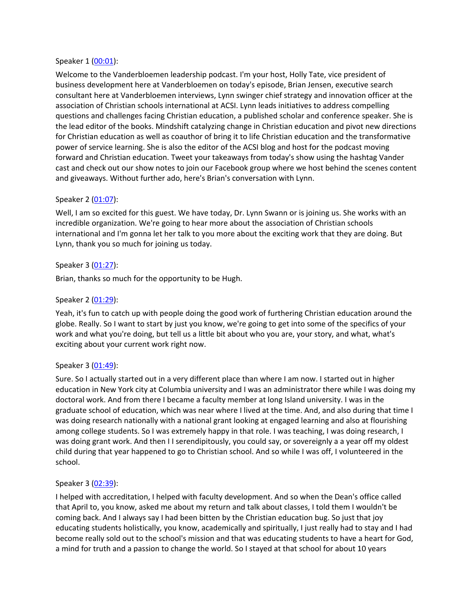#### Speaker 1 ([00:01](https://www.rev.com/transcript-editor/Edit?token=xt-scgp1q8QtBsmTurafJbkBr6BaFRz7e5MjdEDsumPOTjFkgO_og04iXxoK2ydLhvcFOpeqk3pU-Aqe8Qd-Zb4_sr0&loadFrom=DocumentDeeplink&ts=1)):

Welcome to the Vanderbloemen leadership podcast. I'm your host, Holly Tate, vice president of business development here at Vanderbloemen on today's episode, Brian Jensen, executive search consultant here at Vanderbloemen interviews, Lynn swinger chief strategy and innovation officer at the association of Christian schools international at ACSI. Lynn leads initiatives to address compelling questions and challenges facing Christian education, a published scholar and conference speaker. She is the lead editor of the books. Mindshift catalyzing change in Christian education and pivot new directions for Christian education as well as coauthor of bring it to life Christian education and the transformative power of service learning. She is also the editor of the ACSI blog and host for the podcast moving forward and Christian education. Tweet your takeaways from today's show using the hashtag Vander cast and check out our show notes to join our Facebook group where we host behind the scenes content and giveaways. Without further ado, here's Brian's conversation with Lynn.

#### Speaker 2 ([01:07](https://www.rev.com/transcript-editor/Edit?token=KbPvRcps3qoIswZ7HtApaalpzsiX2Eh4zaDFeG0ZC_F2aXLn89kPP_enpM_mKh2PZsdNK2Zo9mVXDia-1Qn3ahS9a9c&loadFrom=DocumentDeeplink&ts=67.21)):

Well, I am so excited for this guest. We have today, Dr. Lynn Swann or is joining us. She works with an incredible organization. We're going to hear more about the association of Christian schools international and I'm gonna let her talk to you more about the exciting work that they are doing. But Lynn, thank you so much for joining us today.

#### Speaker 3 ([01:27](https://www.rev.com/transcript-editor/Edit?token=Nd1Zq1jgfFJ_GbGAAZt6arhiL7outKuA2E0zah-IkMYn6Yno-OBs6l6Y6tMn5ghlhCRz2AHrCdcM1WiRdSrr9FljB0E&loadFrom=DocumentDeeplink&ts=87.46)):

Brian, thanks so much for the opportunity to be Hugh.

## Speaker 2 ([01:29](https://www.rev.com/transcript-editor/Edit?token=x-MyrwQMEqjVI1OhioJoxcoq0H9uJE9uxhQfbLYpVmytXlB7dQFVpNHt1MnwPp58IcJK6GzLMw-voz9AXF-aVpr8hmU&loadFrom=DocumentDeeplink&ts=89.78)):

Yeah, it's fun to catch up with people doing the good work of furthering Christian education around the globe. Really. So I want to start by just you know, we're going to get into some of the specifics of your work and what you're doing, but tell us a little bit about who you are, your story, and what, what's exciting about your current work right now.

## Speaker 3 ([01:49](https://www.rev.com/transcript-editor/Edit?token=dC4JxiJ7NjDzN1AqRliPxz0ALEsvn7yJW4zmw0i6GPRX-e-OtRzy7KL2Bqeg7eIHIsV7nRC4oR9PiQTrE8Dg9u2f8-U&loadFrom=DocumentDeeplink&ts=109.35)):

Sure. So I actually started out in a very different place than where I am now. I started out in higher education in New York city at Columbia university and I was an administrator there while I was doing my doctoral work. And from there I became a faculty member at long Island university. I was in the graduate school of education, which was near where I lived at the time. And, and also during that time I was doing research nationally with a national grant looking at engaged learning and also at flourishing among college students. So I was extremely happy in that role. I was teaching, I was doing research, I was doing grant work. And then II serendipitously, you could say, or sovereignly a a year off my oldest child during that year happened to go to Christian school. And so while I was off, I volunteered in the school.

#### Speaker 3 ([02:39](https://www.rev.com/transcript-editor/Edit?token=2v1iE__hvQbK3kTbuqWuEJ2jNLJUOlUmlXm5_ax6fGuBHxY03CTv1xjErLYnM9RB586WfZKNmar6j36lDj4GeiNfROc&loadFrom=DocumentDeeplink&ts=159.62)):

I helped with accreditation, I helped with faculty development. And so when the Dean's office called that April to, you know, asked me about my return and talk about classes, I told them I wouldn't be coming back. And I always say I had been bitten by the Christian education bug. So just that joy educating students holistically, you know, academically and spiritually, I just really had to stay and I had become really sold out to the school's mission and that was educating students to have a heart for God, a mind for truth and a passion to change the world. So I stayed at that school for about 10 years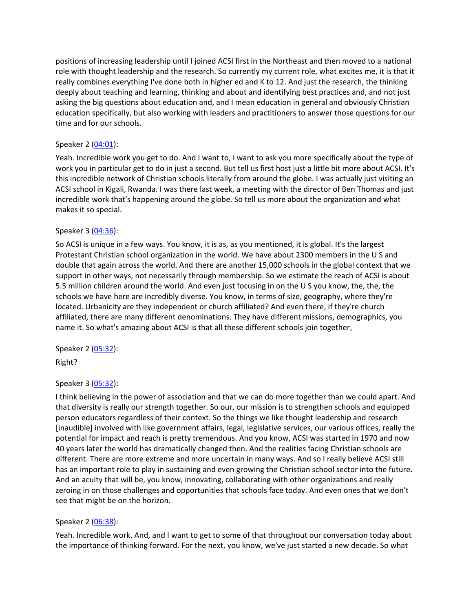positions of increasing leadership until I joined ACSI first in the Northeast and then moved to a national role with thought leadership and the research. So currently my current role, what excites me, it is that it really combines everything I've done both in higher ed and K to 12. And just the research, the thinking deeply about teaching and learning, thinking and about and identifying best practices and, and not just asking the big questions about education and, and I mean education in general and obviously Christian education specifically, but also working with leaders and practitioners to answer those questions for our time and for our schools.

# Speaker 2 ([04:01](https://www.rev.com/transcript-editor/Edit?token=5ER7hqYFAuz086x4iKiwH7b1qNZoG03WI1iSJ88lppXH74v7PTyOrDzRpVeiAmnME39vmdbqffxugNurHLpVIX83Lbg&loadFrom=DocumentDeeplink&ts=241.76)):

Yeah. Incredible work you get to do. And I want to, I want to ask you more specifically about the type of work you in particular get to do in just a second. But tell us first host just a little bit more about ACSI. It's this incredible network of Christian schools literally from around the globe. I was actually just visiting an ACSI school in Kigali, Rwanda. I was there last week, a meeting with the director of Ben Thomas and just incredible work that's happening around the globe. So tell us more about the organization and what makes it so special.

## Speaker 3 ([04:36](https://www.rev.com/transcript-editor/Edit?token=mCs_g3u3qFQ2KHhs8vEy90XyUcSVG7aEArwGOA-obrk_zwOJn6fqFBs6kOFY0NHr4wsB_O-83b5DXqDGCSRFy-DNVkM&loadFrom=DocumentDeeplink&ts=276.59)):

So ACSI is unique in a few ways. You know, it is as, as you mentioned, it is global. It's the largest Protestant Christian school organization in the world. We have about 2300 members in the U S and double that again across the world. And there are another 15,000 schools in the global context that we support in other ways, not necessarily through membership. So we estimate the reach of ACSI is about 5.5 million children around the world. And even just focusing in on the U S you know, the, the, the schools we have here are incredibly diverse. You know, in terms of size, geography, where they're located. Urbanicity are they independent or church affiliated? And even there, if they're church affiliated, there are many different denominations. They have different missions, demographics, you name it. So what's amazing about ACSI is that all these different schools join together,

Speaker 2 ([05:32](https://www.rev.com/transcript-editor/Edit?token=h2aobN18_nduT6_Cxjgbf7s765wfUmAtlAch0uRNBj6vPuPt9vmFyoJypEAL0_eFw8sOWbSn3hmqtkEr9VDW_vosbWE&loadFrom=DocumentDeeplink&ts=332.01)):

Right?

## Speaker 3 ([05:32](https://www.rev.com/transcript-editor/Edit?token=9dRg591FLOWH0bIbE9gi2Xvp1V0yWmEOAgqI5sbXdTmZwoWpxlBWmt8rDIarpIdljXrjnjAs7ntJ5pirQyL0M9GDNgU&loadFrom=DocumentDeeplink&ts=332.08)):

I think believing in the power of association and that we can do more together than we could apart. And that diversity is really our strength together. So our, our mission is to strengthen schools and equipped person educators regardless of their context. So the things we like thought leadership and research [inaudible] involved with like government affairs, legal, legislative services, our various offices, really the potential for impact and reach is pretty tremendous. And you know, ACSI was started in 1970 and now 40 years later the world has dramatically changed then. And the realities facing Christian schools are different. There are more extreme and more uncertain in many ways. And so I really believe ACSI still has an important role to play in sustaining and even growing the Christian school sector into the future. And an acuity that will be, you know, innovating, collaborating with other organizations and really zeroing in on those challenges and opportunities that schools face today. And even ones that we don't see that might be on the horizon.

## Speaker 2 ([06:38](https://www.rev.com/transcript-editor/Edit?token=na_zlYbO-SzSdLZBWYeHdoJ9n0Tem3zNkVlelw8DOjC9gz50I2asrxUSNtXWB-ru3XT6Ic-a4IPVj20BcXCFmz-aJIk&loadFrom=DocumentDeeplink&ts=398.43)):

Yeah. Incredible work. And, and I want to get to some of that throughout our conversation today about the importance of thinking forward. For the next, you know, we've just started a new decade. So what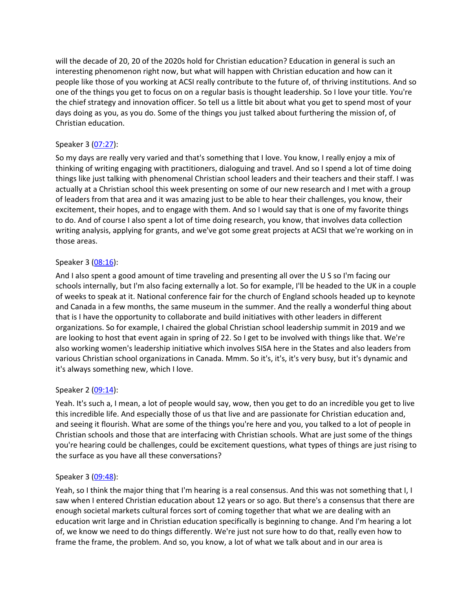will the decade of 20, 20 of the 2020s hold for Christian education? Education in general is such an interesting phenomenon right now, but what will happen with Christian education and how can it people like those of you working at ACSI really contribute to the future of, of thriving institutions. And so one of the things you get to focus on on a regular basis is thought leadership. So I love your title. You're the chief strategy and innovation officer. So tell us a little bit about what you get to spend most of your days doing as you, as you do. Some of the things you just talked about furthering the mission of, of Christian education.

# Speaker 3 ([07:27](https://www.rev.com/transcript-editor/Edit?token=CxlgjanWzsw9xjtNYrTrUJp9rFpUrTyYg9dsMzVOhjR1SHsjWgyMfYeOXtVt0BqQcN3mZuXe3v3_SfUJIM1Pcpfx3qI&loadFrom=DocumentDeeplink&ts=447.62)):

So my days are really very varied and that's something that I love. You know, I really enjoy a mix of thinking of writing engaging with practitioners, dialoguing and travel. And so I spend a lot of time doing things like just talking with phenomenal Christian school leaders and their teachers and their staff. I was actually at a Christian school this week presenting on some of our new research and I met with a group of leaders from that area and it was amazing just to be able to hear their challenges, you know, their excitement, their hopes, and to engage with them. And so I would say that is one of my favorite things to do. And of course I also spent a lot of time doing research, you know, that involves data collection writing analysis, applying for grants, and we've got some great projects at ACSI that we're working on in those areas.

## Speaker 3 ([08:16](https://www.rev.com/transcript-editor/Edit?token=f7hMNByLwHVsF4sUx1K7fwWrQUKvjHLEXYajqn-dY7op3oud06TbaAtdgPJhatOmLNo7RRjfBjKdkkXTGSwTfG8xCLM&loadFrom=DocumentDeeplink&ts=496.521)):

And I also spent a good amount of time traveling and presenting all over the U S so I'm facing our schools internally, but I'm also facing externally a lot. So for example, I'll be headed to the UK in a couple of weeks to speak at it. National conference fair for the church of England schools headed up to keynote and Canada in a few months, the same museum in the summer. And the really a wonderful thing about that is I have the opportunity to collaborate and build initiatives with other leaders in different organizations. So for example, I chaired the global Christian school leadership summit in 2019 and we are looking to host that event again in spring of 22. So I get to be involved with things like that. We're also working women's leadership initiative which involves SISA here in the States and also leaders from various Christian school organizations in Canada. Mmm. So it's, it's, it's very busy, but it's dynamic and it's always something new, which I love.

## Speaker 2 ([09:14](https://www.rev.com/transcript-editor/Edit?token=a3-_KXfAl9BR3wnaO-nlLmZRpSrE4XQryNmKxwLwLpV2SjIMYETPBZVCdzSfg1z3VSoZ--QRk68raPqXkddEyexySxM&loadFrom=DocumentDeeplink&ts=554.03)):

Yeah. It's such a, I mean, a lot of people would say, wow, then you get to do an incredible you get to live this incredible life. And especially those of us that live and are passionate for Christian education and, and seeing it flourish. What are some of the things you're here and you, you talked to a lot of people in Christian schools and those that are interfacing with Christian schools. What are just some of the things you're hearing could be challenges, could be excitement questions, what types of things are just rising to the surface as you have all these conversations?

## Speaker 3 ([09:48](https://www.rev.com/transcript-editor/Edit?token=1E-AirvEeJv-Ny1Ec1D5w865WQiJ32CDsACEqNyLBA7uIu5qy0ggq7TQo21RqDyu3FGsWKISA0a4hLnO5LywLhHuM9U&loadFrom=DocumentDeeplink&ts=588.39)):

Yeah, so I think the major thing that I'm hearing is a real consensus. And this was not something that I, I saw when I entered Christian education about 12 years or so ago. But there's a consensus that there are enough societal markets cultural forces sort of coming together that what we are dealing with an education writ large and in Christian education specifically is beginning to change. And I'm hearing a lot of, we know we need to do things differently. We're just not sure how to do that, really even how to frame the frame, the problem. And so, you know, a lot of what we talk about and in our area is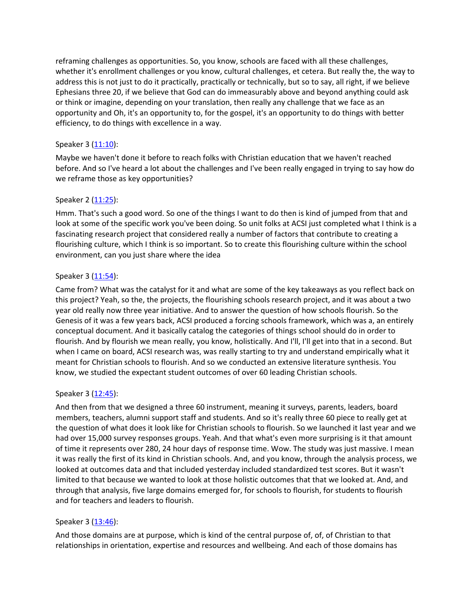reframing challenges as opportunities. So, you know, schools are faced with all these challenges, whether it's enrollment challenges or you know, cultural challenges, et cetera. But really the, the way to address this is not just to do it practically, practically or technically, but so to say, all right, if we believe Ephesians three 20, if we believe that God can do immeasurably above and beyond anything could ask or think or imagine, depending on your translation, then really any challenge that we face as an opportunity and Oh, it's an opportunity to, for the gospel, it's an opportunity to do things with better efficiency, to do things with excellence in a way.

# Speaker 3 ([11:10](https://www.rev.com/transcript-editor/Edit?token=nCTNsu4UKhqZ3vo50w_cwCJv1zfgReNdZHbYmDUEkxbGALoy_Me_HCogP_ghD6U9yew9XHTYPVlaNCUSXXR7axdRjoA&loadFrom=DocumentDeeplink&ts=670.46)):

Maybe we haven't done it before to reach folks with Christian education that we haven't reached before. And so I've heard a lot about the challenges and I've been really engaged in trying to say how do we reframe those as key opportunities?

## Speaker 2 ([11:25](https://www.rev.com/transcript-editor/Edit?token=poAbnngEPtuJKVUmIcbkmQ18oXracr-ht3tU7l0m0pjmQjGk-aOB2_RvR2HtEF14YN54a8wegTbzRrfehbCb4Js0f3Q&loadFrom=DocumentDeeplink&ts=685.12)):

Hmm. That's such a good word. So one of the things I want to do then is kind of jumped from that and look at some of the specific work you've been doing. So unit folks at ACSI just completed what I think is a fascinating research project that considered really a number of factors that contribute to creating a flourishing culture, which I think is so important. So to create this flourishing culture within the school environment, can you just share where the idea

# Speaker 3 ([11:54](https://www.rev.com/transcript-editor/Edit?token=nYY1EanatpI7JffuEYxXb_KYiXtAn7v6FONrlF2YJ3K1Lf3__Os3nKt_7FoT75ZOgvcx8Qyv1dMmENhD9wriouZUv1E&loadFrom=DocumentDeeplink&ts=714.34)):

Came from? What was the catalyst for it and what are some of the key takeaways as you reflect back on this project? Yeah, so the, the projects, the flourishing schools research project, and it was about a two year old really now three year initiative. And to answer the question of how schools flourish. So the Genesis of it was a few years back, ACSI produced a forcing schools framework, which was a, an entirely conceptual document. And it basically catalog the categories of things school should do in order to flourish. And by flourish we mean really, you know, holistically. And I'll, I'll get into that in a second. But when I came on board, ACSI research was, was really starting to try and understand empirically what it meant for Christian schools to flourish. And so we conducted an extensive literature synthesis. You know, we studied the expectant student outcomes of over 60 leading Christian schools.

## Speaker 3 ([12:45](https://www.rev.com/transcript-editor/Edit?token=AMa-ApoLsmoHaZgEnY01tn472Cy302a0BD89H6klcerKKPCQ5EoBqoSBvFWr99Wu2eMGXso3t8Nu_HniNYgl4Vg_06Y&loadFrom=DocumentDeeplink&ts=765.88)):

And then from that we designed a three 60 instrument, meaning it surveys, parents, leaders, board members, teachers, alumni support staff and students. And so it's really three 60 piece to really get at the question of what does it look like for Christian schools to flourish. So we launched it last year and we had over 15,000 survey responses groups. Yeah. And that what's even more surprising is it that amount of time it represents over 280, 24 hour days of response time. Wow. The study was just massive. I mean it was really the first of its kind in Christian schools. And, and you know, through the analysis process, we looked at outcomes data and that included yesterday included standardized test scores. But it wasn't limited to that because we wanted to look at those holistic outcomes that that we looked at. And, and through that analysis, five large domains emerged for, for schools to flourish, for students to flourish and for teachers and leaders to flourish.

## Speaker 3 ([13:46](https://www.rev.com/transcript-editor/Edit?token=4NmlYCwEJbOLlknIEmk2Z2D1Z2kBHUWD9Pdpq5rN3gzUxJQjX97XoqZ4Y0RRd-b5go3Yp4Q9vKsIrLKCQnQjE8ol44Q&loadFrom=DocumentDeeplink&ts=826.05)):

And those domains are at purpose, which is kind of the central purpose of, of, of Christian to that relationships in orientation, expertise and resources and wellbeing. And each of those domains has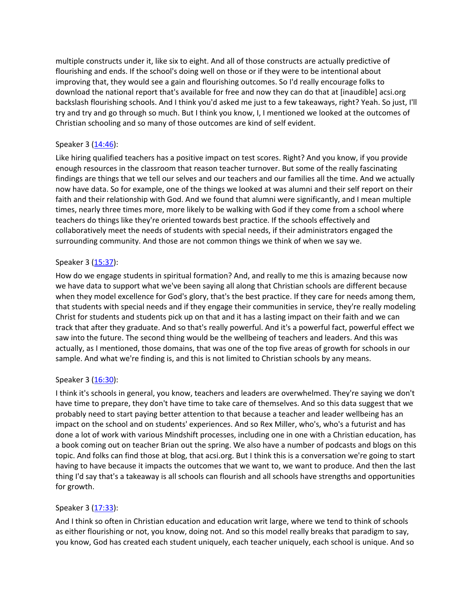multiple constructs under it, like six to eight. And all of those constructs are actually predictive of flourishing and ends. If the school's doing well on those or if they were to be intentional about improving that, they would see a gain and flourishing outcomes. So I'd really encourage folks to download the national report that's available for free and now they can do that at [inaudible] acsi.org backslash flourishing schools. And I think you'd asked me just to a few takeaways, right? Yeah. So just, I'll try and try and go through so much. But I think you know, I, I mentioned we looked at the outcomes of Christian schooling and so many of those outcomes are kind of self evident.

# Speaker 3 ([14:46](https://www.rev.com/transcript-editor/Edit?token=SiBLQJBOiSbkNdZQ3Nk1D2fnOMZfpUKTXvxPx_jYXh1_HUndvyQwwGa5PGFQN5M5G6Kpn5ImazJeRb1ABXzzhKj3tew&loadFrom=DocumentDeeplink&ts=886.71)):

Like hiring qualified teachers has a positive impact on test scores. Right? And you know, if you provide enough resources in the classroom that reason teacher turnover. But some of the really fascinating findings are things that we tell our selves and our teachers and our families all the time. And we actually now have data. So for example, one of the things we looked at was alumni and their self report on their faith and their relationship with God. And we found that alumni were significantly, and I mean multiple times, nearly three times more, more likely to be walking with God if they come from a school where teachers do things like they're oriented towards best practice. If the schools effectively and collaboratively meet the needs of students with special needs, if their administrators engaged the surrounding community. And those are not common things we think of when we say we.

## Speaker 3 ([15:37](https://www.rev.com/transcript-editor/Edit?token=meFTFytzp35tC26oh1fEasqaDIWCYH9yJd-bF0zXrx2BSSpn1b8KoNVqDMqBTz0xOzXcKB2Hr-RFXB6U67j3TkLbsQI&loadFrom=DocumentDeeplink&ts=937.29)):

How do we engage students in spiritual formation? And, and really to me this is amazing because now we have data to support what we've been saying all along that Christian schools are different because when they model excellence for God's glory, that's the best practice. If they care for needs among them, that students with special needs and if they engage their communities in service, they're really modeling Christ for students and students pick up on that and it has a lasting impact on their faith and we can track that after they graduate. And so that's really powerful. And it's a powerful fact, powerful effect we saw into the future. The second thing would be the wellbeing of teachers and leaders. And this was actually, as I mentioned, those domains, that was one of the top five areas of growth for schools in our sample. And what we're finding is, and this is not limited to Christian schools by any means.

## Speaker 3 ([16:30](https://www.rev.com/transcript-editor/Edit?token=tJ3RICAMQQeBptY0T7tR8XX4JKU48ee9gBE7NgQzW1ddDPjLKRPksBmXE4woIgOvT38EEL6Fgcwl9_2lZ3DM-I9Wr7U&loadFrom=DocumentDeeplink&ts=990.19)):

I think it's schools in general, you know, teachers and leaders are overwhelmed. They're saying we don't have time to prepare, they don't have time to take care of themselves. And so this data suggest that we probably need to start paying better attention to that because a teacher and leader wellbeing has an impact on the school and on students' experiences. And so Rex Miller, who's, who's a futurist and has done a lot of work with various Mindshift processes, including one in one with a Christian education, has a book coming out on teacher Brian out the spring. We also have a number of podcasts and blogs on this topic. And folks can find those at blog, that acsi.org. But I think this is a conversation we're going to start having to have because it impacts the outcomes that we want to, we want to produce. And then the last thing I'd say that's a takeaway is all schools can flourish and all schools have strengths and opportunities for growth.

## Speaker 3 ([17:33](https://www.rev.com/transcript-editor/Edit?token=_pmb5QYexklAOgCPge7Bu76C0DCZGJWsKvacVkavEM4GofM22_wV4n85xf_7B6NlWr6tpq9jhhskQWIGvI3Gxaie2PA&loadFrom=DocumentDeeplink&ts=1053.11)):

And I think so often in Christian education and education writ large, where we tend to think of schools as either flourishing or not, you know, doing not. And so this model really breaks that paradigm to say, you know, God has created each student uniquely, each teacher uniquely, each school is unique. And so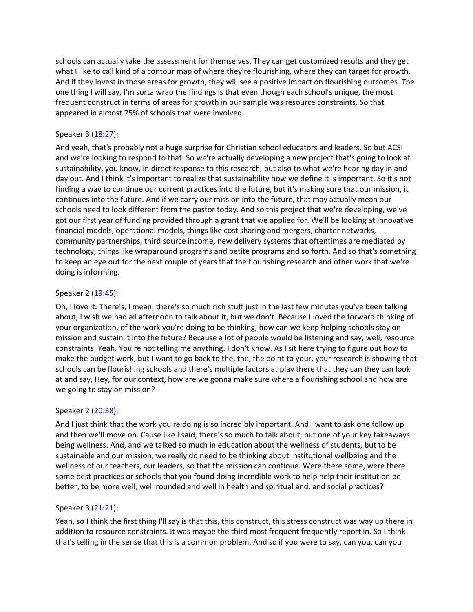schools can actually take the assessment for themselves. They can get customized results and they get what I like to call kind of a contour map of where they're flourishing, where they can target for growth. And if they invest in those areas for growth, they will see a positive impact on flourishing outcomes. The one thing I will say, I'm sorta wrap the findings is that even though each school's unique, the most frequent construct in terms of areas for growth in our sample was resource constraints. So that appeared in almost 75% of schools that were involved.

# Speaker 3 ([18:27](https://www.rev.com/transcript-editor/Edit?token=oPpPgd9i1avnteSGOw78_5yRuuFDHdBmlQw276srzYqH3RKntObEDpO46BBnnuGqhMCjR_zGB9HJ86lG8zTTVZmET8U&loadFrom=DocumentDeeplink&ts=1107.14)):

And yeah, that's probably not a huge surprise for Christian school educators and leaders. So but ACSI and we're looking to respond to that. So we're actually developing a new project that's going to look at sustainability, you know, in direct response to this research, but also to what we're hearing day in and day out. And I think it's important to realize that sustainability how we define it is important. So it's not finding a way to continue our current practices into the future, but it's making sure that our mission, it continues into the future. And if we carry our mission into the future, that may actually mean our schools need to look different from the pastor today. And so this project that we're developing, we've got our first year of funding provided through a grant that we applied for. We'll be looking at innovative financial models, operational models, things like cost sharing and mergers, charter networks, community partnerships, third source income, new delivery systems that oftentimes are mediated by technology, things like wraparound programs and petite programs and so forth. And so that's something to keep an eye out for the next couple of years that the flourishing research and other work that we're doing is informing.

# Speaker 2 ([19:45](https://www.rev.com/transcript-editor/Edit?token=4jhoNba3zKXjdPPAtFVPK4MweFkRoFMOOfvlTC-Xr87mQNFU6Ho8rnVEglTt5toeqQSH-tmhvjLoaw5_zPbDmQ4dAwM&loadFrom=DocumentDeeplink&ts=1185.21)):

Oh, I love it. There's, I mean, there's so much rich stuff just in the last few minutes you've been talking about, I wish we had all afternoon to talk about it, but we don't. Because I loved the forward thinking of your organization, of the work you're doing to be thinking, how can we keep helping schools stay on mission and sustain it into the future? Because a lot of people would be listening and say, well, resource constraints. Yeah. You're not telling me anything. I don't know. As I sit here trying to figure out how to make the budget work, but I want to go back to the, the, the point to your, your research is showing that schools can be flourishing schools and there's multiple factors at play there that they can they can look at and say, Hey, for our context, how are we gonna make sure where a flourishing school and how are we going to stay on mission?

## Speaker 2 ([20:38](https://www.rev.com/transcript-editor/Edit?token=VxsTwouTGpg83XJC8nDfuXWbHfgpmyq7jt_x1x7mFIy69RalptZDC_l-ZjfMVNGWEzGq73WYK9CeZMWWtXyIb26aRwI&loadFrom=DocumentDeeplink&ts=1238.44)):

And I just think that the work you're doing is so incredibly important. And I want to ask one follow up and then we'll move on. Cause like I said, there's so much to talk about, but one of your key takeaways being wellness. And, and we talked so much in education about the wellness of students, but to be sustainable and our mission, we really do need to be thinking about institutional wellbeing and the wellness of our teachers, our leaders, so that the mission can continue. Were there some, were there some best practices or schools that you found doing incredible work to help help their institution be better, to be more well, well rounded and well in health and spiritual and, and social practices?

## Speaker 3 ([21:21](https://www.rev.com/transcript-editor/Edit?token=yPQCKqwDrGUKuhYialPNkwxnJb8s-mWZF8dsNwQ1CEq1gZnXTV1TUF0puKxCCVqainQsh6hq22ppiyF0NOxL2N-mPCs&loadFrom=DocumentDeeplink&ts=1281.69)):

Yeah, so I think the first thing I'll say is that this, this construct, this stress construct was way up there in addition to resource constraints. It was maybe the third most frequent frequently report in. So I think that's telling in the sense that this is a common problem. And so if you were to say, can you, can you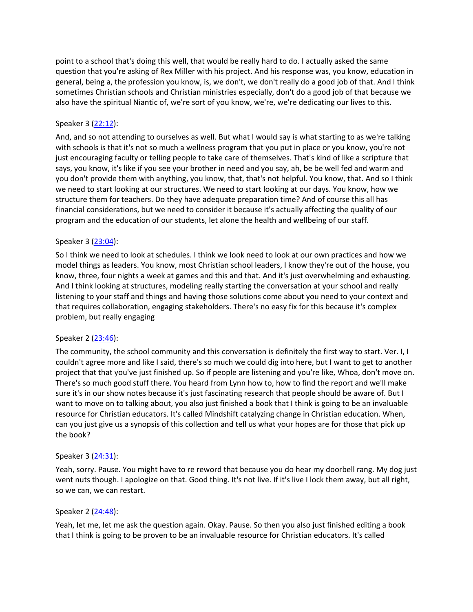point to a school that's doing this well, that would be really hard to do. I actually asked the same question that you're asking of Rex Miller with his project. And his response was, you know, education in general, being a, the profession you know, is, we don't, we don't really do a good job of that. And I think sometimes Christian schools and Christian ministries especially, don't do a good job of that because we also have the spiritual Niantic of, we're sort of you know, we're, we're dedicating our lives to this.

# Speaker 3 ([22:12](https://www.rev.com/transcript-editor/Edit?token=b2EOsjiEQ3Za8VKFKmzGI9BAiPZQoOWWVIToCtCCX3KDcZCgyxsZAUMa1iFabEmT9HGIH5ddQkkTSRRcABge1kj3kCs&loadFrom=DocumentDeeplink&ts=1332)):

And, and so not attending to ourselves as well. But what I would say is what starting to as we're talking with schools is that it's not so much a wellness program that you put in place or you know, you're not just encouraging faculty or telling people to take care of themselves. That's kind of like a scripture that says, you know, it's like if you see your brother in need and you say, ah, be be well fed and warm and you don't provide them with anything, you know, that, that's not helpful. You know, that. And so I think we need to start looking at our structures. We need to start looking at our days. You know, how we structure them for teachers. Do they have adequate preparation time? And of course this all has financial considerations, but we need to consider it because it's actually affecting the quality of our program and the education of our students, let alone the health and wellbeing of our staff.

# Speaker 3 ([23:04](https://www.rev.com/transcript-editor/Edit?token=_ua2EM1RIljL91IJ2CuDAK4hIapNYMd1F_A6mC1QZ_eP51FbsNK_baqJ2_N8XSQyyS5K9t4-bg_Wezh9RkFgeg_-f7E&loadFrom=DocumentDeeplink&ts=1384.27)):

So I think we need to look at schedules. I think we look need to look at our own practices and how we model things as leaders. You know, most Christian school leaders, I know they're out of the house, you know, three, four nights a week at games and this and that. And it's just overwhelming and exhausting. And I think looking at structures, modeling really starting the conversation at your school and really listening to your staff and things and having those solutions come about you need to your context and that requires collaboration, engaging stakeholders. There's no easy fix for this because it's complex problem, but really engaging

## Speaker 2 ([23:46](https://www.rev.com/transcript-editor/Edit?token=ts5cdx55JbU-0sPlkKwGCfE5NdWDX3n80kpSE_PlgMZoVz2kMT7RvJZE6Gn9KUSr1N7eHxKjOjwxpyrFRALTyKvt_hA&loadFrom=DocumentDeeplink&ts=1426.12)):

The community, the school community and this conversation is definitely the first way to start. Ver. I, I couldn't agree more and like I said, there's so much we could dig into here, but I want to get to another project that that you've just finished up. So if people are listening and you're like, Whoa, don't move on. There's so much good stuff there. You heard from Lynn how to, how to find the report and we'll make sure it's in our show notes because it's just fascinating research that people should be aware of. But I want to move on to talking about, you also just finished a book that I think is going to be an invaluable resource for Christian educators. It's called Mindshift catalyzing change in Christian education. When, can you just give us a synopsis of this collection and tell us what your hopes are for those that pick up the book?

## Speaker 3 ([24:31](https://www.rev.com/transcript-editor/Edit?token=xwvB9ADkMZOrYdTEDsuNIISSYy32b8s_dZMgwoyt0fZm4HjYTwiUx2p-DI1RtWwXfuDMU7wQz7UNcA6OWWuYHWAl1BY&loadFrom=DocumentDeeplink&ts=1471.84)):

Yeah, sorry. Pause. You might have to re reword that because you do hear my doorbell rang. My dog just went nuts though. I apologize on that. Good thing. It's not live. If it's live I lock them away, but all right, so we can, we can restart.

## Speaker 2 ([24:48](https://www.rev.com/transcript-editor/Edit?token=7j9FjJTH_JUZvF0Bhtl5sx3xdoPSiIQ-9qZfyJQxKy4ZUVyPLS9zvKzSvpeZ8BbFWdNWC8FmB85glh2bnLIO38OUoYc&loadFrom=DocumentDeeplink&ts=1488.16)):

Yeah, let me, let me ask the question again. Okay. Pause. So then you also just finished editing a book that I think is going to be proven to be an invaluable resource for Christian educators. It's called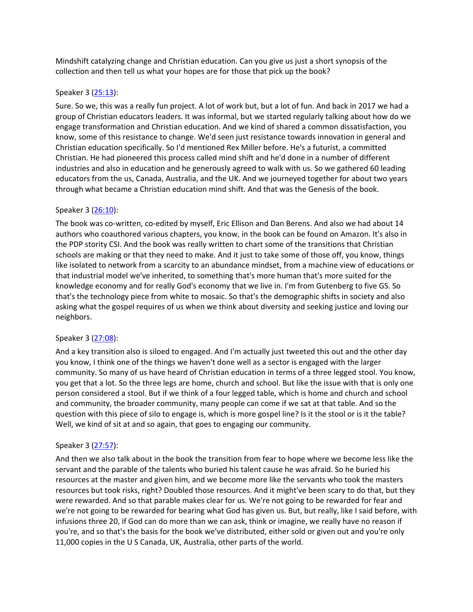Mindshift catalyzing change and Christian education. Can you give us just a short synopsis of the collection and then tell us what your hopes are for those that pick up the book?

#### Speaker 3 ([25:13](https://www.rev.com/transcript-editor/Edit?token=urg4nt-Uk1IPIgdfSeEQYukYPLU3df06E78d-b2qqxWECOS8bX2mt2XAWbTjxPNXZ1RsbqupDeJ2yZGlNyg3cQjSTcM&loadFrom=DocumentDeeplink&ts=1513.4)):

Sure. So we, this was a really fun project. A lot of work but, but a lot of fun. And back in 2017 we had a group of Christian educators leaders. It was informal, but we started regularly talking about how do we engage transformation and Christian education. And we kind of shared a common dissatisfaction, you know, some of this resistance to change. We'd seen just resistance towards innovation in general and Christian education specifically. So I'd mentioned Rex Miller before. He's a futurist, a committed Christian. He had pioneered this process called mind shift and he'd done in a number of different industries and also in education and he generously agreed to walk with us. So we gathered 60 leading educators from the us, Canada, Australia, and the UK. And we journeyed together for about two years through what became a Christian education mind shift. And that was the Genesis of the book.

## Speaker 3 ([26:10](https://www.rev.com/transcript-editor/Edit?token=r6fDCHoTqsVb6XTMeiMXuHSwql_ObYf0Wk6Fe6xoQPplYlxsbEw-yz44Kie7N-QpQNVh0F4I4a048g-5lv-RMX0oB-U&loadFrom=DocumentDeeplink&ts=1570.49)):

The book was co-written, co-edited by myself, Eric Ellison and Dan Berens. And also we had about 14 authors who coauthored various chapters, you know, in the book can be found on Amazon. It's also in the PDP stority CSI. And the book was really written to chart some of the transitions that Christian schools are making or that they need to make. And it just to take some of those off, you know, things like isolated to network from a scarcity to an abundance mindset, from a machine view of educations or that industrial model we've inherited, to something that's more human that's more suited for the knowledge economy and for really God's economy that we live in. I'm from Gutenberg to five GS. So that's the technology piece from white to mosaic. So that's the demographic shifts in society and also asking what the gospel requires of us when we think about diversity and seeking justice and loving our neighbors.

## Speaker 3 ([27:08](https://www.rev.com/transcript-editor/Edit?token=LFy_-GDni_vYUz9LwKXlxUetp9RIPuXYFivOUYpzwpfGQdB_-FQYECkz9-fAZhSANkxIHklz6RGUVuWBdSJLKeOPP-c&loadFrom=DocumentDeeplink&ts=1628.82)):

And a key transition also is siloed to engaged. And I'm actually just tweeted this out and the other day you know, I think one of the things we haven't done well as a sector is engaged with the larger community. So many of us have heard of Christian education in terms of a three legged stool. You know, you get that a lot. So the three legs are home, church and school. But like the issue with that is only one person considered a stool. But if we think of a four legged table, which is home and church and school and community, the broader community, many people can come if we sat at that table. And so the question with this piece of silo to engage is, which is more gospel line? Is it the stool or is it the table? Well, we kind of sit at and so again, that goes to engaging our community.

## Speaker 3 ([27:57](https://www.rev.com/transcript-editor/Edit?token=wakEx7etwTncTU-K7z-UAyUTRg21P4S5AhTEyNc-twVfeGnqVTUeDmjBp176opUwowM0c6sC2K-6iuWPs24lWTiDeDk&loadFrom=DocumentDeeplink&ts=1677.53)):

And then we also talk about in the book the transition from fear to hope where we become less like the servant and the parable of the talents who buried his talent cause he was afraid. So he buried his resources at the master and given him, and we become more like the servants who took the masters resources but took risks, right? Doubled those resources. And it might've been scary to do that, but they were rewarded. And so that parable makes clear for us. We're not going to be rewarded for fear and we're not going to be rewarded for bearing what God has given us. But, but really, like I said before, with infusions three 20, if God can do more than we can ask, think or imagine, we really have no reason if you're, and so that's the basis for the book we've distributed, either sold or given out and you're only 11,000 copies in the U S Canada, UK, Australia, other parts of the world.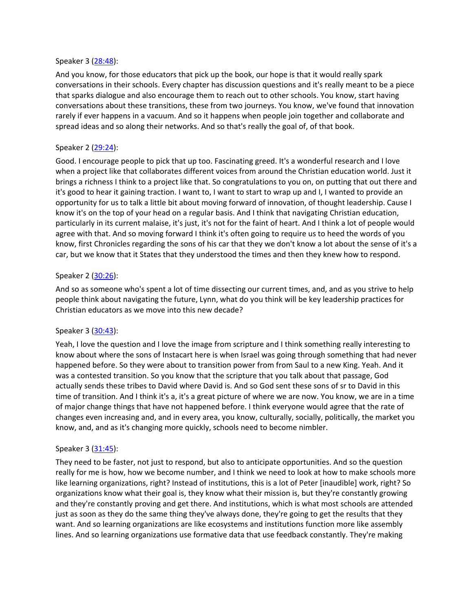#### Speaker 3 ([28:48](https://www.rev.com/transcript-editor/Edit?token=4a5prifuKF8KaAQwkryzGKqinkhHS8xATwPQ0DVzNFPmG97_mmGL9qjANUwuI5qDCIV8xGCKH1hWoufyXNa4FNmHGLU&loadFrom=DocumentDeeplink&ts=1728.27)):

And you know, for those educators that pick up the book, our hope is that it would really spark conversations in their schools. Every chapter has discussion questions and it's really meant to be a piece that sparks dialogue and also encourage them to reach out to other schools. You know, start having conversations about these transitions, these from two journeys. You know, we've found that innovation rarely if ever happens in a vacuum. And so it happens when people join together and collaborate and spread ideas and so along their networks. And so that's really the goal of, of that book.

#### Speaker 2 ([29:24](https://www.rev.com/transcript-editor/Edit?token=YekNeDH_LUiT3YfUob-vRJX6lo2pOKOiTplmMINqvO_9hSiF9g3QKPSKfRZyv_DIrc5yDmitsaEFwAaF6_abNmtA8iA&loadFrom=DocumentDeeplink&ts=1764.14)):

Good. I encourage people to pick that up too. Fascinating greed. It's a wonderful research and I love when a project like that collaborates different voices from around the Christian education world. Just it brings a richness I think to a project like that. So congratulations to you on, on putting that out there and it's good to hear it gaining traction. I want to, I want to start to wrap up and I, I wanted to provide an opportunity for us to talk a little bit about moving forward of innovation, of thought leadership. Cause I know it's on the top of your head on a regular basis. And I think that navigating Christian education, particularly in its current malaise, it's just, it's not for the faint of heart. And I think a lot of people would agree with that. And so moving forward I think it's often going to require us to heed the words of you know, first Chronicles regarding the sons of his car that they we don't know a lot about the sense of it's a car, but we know that it States that they understood the times and then they knew how to respond.

#### Speaker 2 ([30:26](https://www.rev.com/transcript-editor/Edit?token=SrS5ZkMoiw82NQi9UJAxhKJu4j8h3zNxzF_PeTDGEvFiaPV1tu8H6NtcM4ejXUzp2qMMTGiTsKm0RXIOCYU17Vw63Y0&loadFrom=DocumentDeeplink&ts=1826.32)):

And so as someone who's spent a lot of time dissecting our current times, and, and as you strive to help people think about navigating the future, Lynn, what do you think will be key leadership practices for Christian educators as we move into this new decade?

#### Speaker 3 ([30:43](https://www.rev.com/transcript-editor/Edit?token=0bs2HK8cZ0oCLjBoUshNI7yt9fOFUAqc-fS1Jixvf2nyvbmqd0uXnvl4iVSwctPiPsmStWYCXywJs19z6pPGbvP8tqc&loadFrom=DocumentDeeplink&ts=1843.36)):

Yeah, I love the question and I love the image from scripture and I think something really interesting to know about where the sons of Instacart here is when Israel was going through something that had never happened before. So they were about to transition power from from Saul to a new King. Yeah. And it was a contested transition. So you know that the scripture that you talk about that passage, God actually sends these tribes to David where David is. And so God sent these sons of sr to David in this time of transition. And I think it's a, it's a great picture of where we are now. You know, we are in a time of major change things that have not happened before. I think everyone would agree that the rate of changes even increasing and, and in every area, you know, culturally, socially, politically, the market you know, and, and as it's changing more quickly, schools need to become nimbler.

#### Speaker 3 ([31:45](https://www.rev.com/transcript-editor/Edit?token=Dfn6SVkfPaEKG4iJZy41Bqc_SLeQ2Xn_O3xwI6Q5_7PDbgddDKwI-SPRVbGXC4LCJqJ8SYg1FUIypKwimMu6jH12mVo&loadFrom=DocumentDeeplink&ts=1905.33)):

They need to be faster, not just to respond, but also to anticipate opportunities. And so the question really for me is how, how we become number, and I think we need to look at how to make schools more like learning organizations, right? Instead of institutions, this is a lot of Peter [inaudible] work, right? So organizations know what their goal is, they know what their mission is, but they're constantly growing and they're constantly proving and get there. And institutions, which is what most schools are attended just as soon as they do the same thing they've always done, they're going to get the results that they want. And so learning organizations are like ecosystems and institutions function more like assembly lines. And so learning organizations use formative data that use feedback constantly. They're making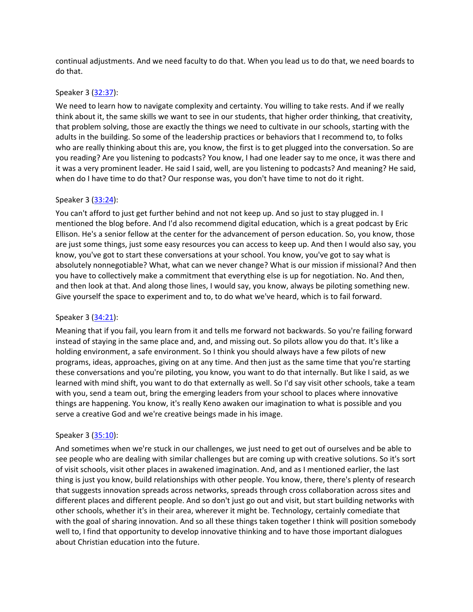continual adjustments. And we need faculty to do that. When you lead us to do that, we need boards to do that.

#### Speaker 3 ([32:37](https://www.rev.com/transcript-editor/Edit?token=ZJEyONBFGC_f1LHuywDPfenWpXpIVAF7cwx6T_y0h8OWQHRhOTAa7oPmyV1dn59F7KGbIVzBDIUYGvOE-yD5KySsOtc&loadFrom=DocumentDeeplink&ts=1957.3)):

We need to learn how to navigate complexity and certainty. You willing to take rests. And if we really think about it, the same skills we want to see in our students, that higher order thinking, that creativity, that problem solving, those are exactly the things we need to cultivate in our schools, starting with the adults in the building. So some of the leadership practices or behaviors that I recommend to, to folks who are really thinking about this are, you know, the first is to get plugged into the conversation. So are you reading? Are you listening to podcasts? You know, I had one leader say to me once, it was there and it was a very prominent leader. He said I said, well, are you listening to podcasts? And meaning? He said, when do I have time to do that? Our response was, you don't have time to not do it right.

## Speaker 3 ([33:24](https://www.rev.com/transcript-editor/Edit?token=nPmtviaZFqMOKS-Ghk7Uk3gY7AVZrN2LwoC3a-w_VRwc7hLZEahPykI0ET_e_1seUgIFKPo4JOXwSn1aH0zEBtlNjUw&loadFrom=DocumentDeeplink&ts=2004.55)):

You can't afford to just get further behind and not not keep up. And so just to stay plugged in. I mentioned the blog before. And I'd also recommend digital education, which is a great podcast by Eric Ellison. He's a senior fellow at the center for the advancement of person education. So, you know, those are just some things, just some easy resources you can access to keep up. And then I would also say, you know, you've got to start these conversations at your school. You know, you've got to say what is absolutely nonnegotiable? What, what can we never change? What is our mission if missional? And then you have to collectively make a commitment that everything else is up for negotiation. No. And then, and then look at that. And along those lines, I would say, you know, always be piloting something new. Give yourself the space to experiment and to, to do what we've heard, which is to fail forward.

## Speaker 3 ([34:21](https://www.rev.com/transcript-editor/Edit?token=bQ0Hd9OJ4wgGfFnc4sNhmGN2sUoLZKDCwodnMKcjQ4HztgTU5HqnoP1zh_1Zy9JYxKr9My8Hz-6b1y_YNXtnXeUZzSI&loadFrom=DocumentDeeplink&ts=2061.12)):

Meaning that if you fail, you learn from it and tells me forward not backwards. So you're failing forward instead of staying in the same place and, and, and missing out. So pilots allow you do that. It's like a holding environment, a safe environment. So I think you should always have a few pilots of new programs, ideas, approaches, giving on at any time. And then just as the same time that you're starting these conversations and you're piloting, you know, you want to do that internally. But like I said, as we learned with mind shift, you want to do that externally as well. So I'd say visit other schools, take a team with you, send a team out, bring the emerging leaders from your school to places where innovative things are happening. You know, it's really Keno awaken our imagination to what is possible and you serve a creative God and we're creative beings made in his image.

#### Speaker 3 ([35:10](https://www.rev.com/transcript-editor/Edit?token=rAAJZRuinmO1z0RMSkj8_v_BLogebzTQxfnKfZaGTfxT6476LSOgv0tPkPeRyvWMIU_gyJQIQWnm4ebKNBn3dlreNBQ&loadFrom=DocumentDeeplink&ts=2110.32)):

And sometimes when we're stuck in our challenges, we just need to get out of ourselves and be able to see people who are dealing with similar challenges but are coming up with creative solutions. So it's sort of visit schools, visit other places in awakened imagination. And, and as I mentioned earlier, the last thing is just you know, build relationships with other people. You know, there, there's plenty of research that suggests innovation spreads across networks, spreads through cross collaboration across sites and different places and different people. And so don't just go out and visit, but start building networks with other schools, whether it's in their area, wherever it might be. Technology, certainly comediate that with the goal of sharing innovation. And so all these things taken together I think will position somebody well to, I find that opportunity to develop innovative thinking and to have those important dialogues about Christian education into the future.